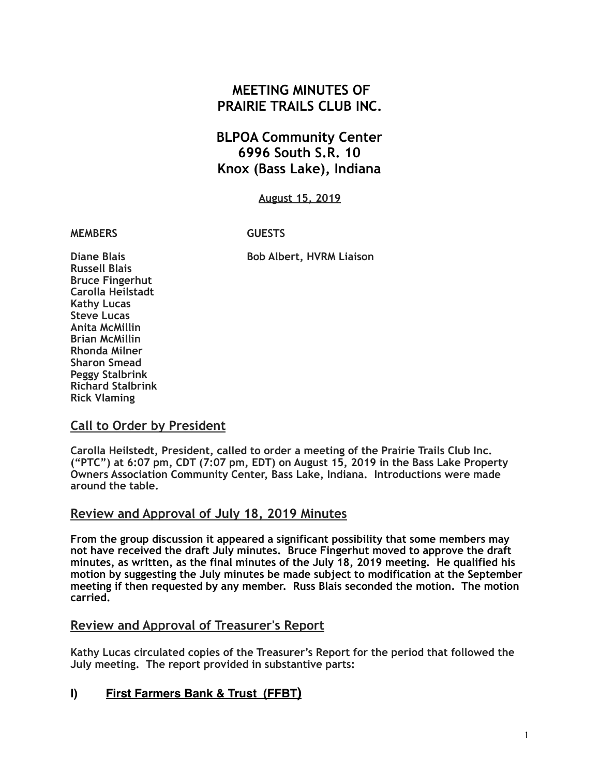# **MEETING MINUTES OF PRAIRIE TRAILS CLUB INC.**

# **BLPOA Community Center 6996 South S.R. 10 Knox (Bass Lake), Indiana**

**August 15, 2019**

#### **MEMBERS GUESTS**

**Diane Blais** Bob Albert, HVRM Liaison **Russell Blais Bruce Fingerhut Carolla Heilstadt Kathy Lucas Steve Lucas Anita McMillin Brian McMillin Rhonda Milner Sharon Smead Peggy Stalbrink Richard Stalbrink Rick Vlaming** 

### **Call to Order by President**

**Carolla Heilstedt, President, called to order a meeting of the Prairie Trails Club Inc. ("PTC") at 6:07 pm, CDT (7:07 pm, EDT) on August 15, 2019 in the Bass Lake Property Owners Association Community Center, Bass Lake, Indiana. Introductions were made around the table.**

### **Review and Approval of July 18, 2019 Minutes**

**From the group discussion it appeared a significant possibility that some members may not have received the draft July minutes. Bruce Fingerhut moved to approve the draft minutes, as written, as the final minutes of the July 18, 2019 meeting. He qualified his motion by suggesting the July minutes be made subject to modification at the September meeting if then requested by any member. Russ Blais seconded the motion. The motion carried.** 

# **Review and Approval of Treasurer's Report**

**Kathy Lucas circulated copies of the Treasurer's Report for the period that followed the July meeting. The report provided in substantive parts:** 

# **I) First Farmers Bank & Trust (FFBT)**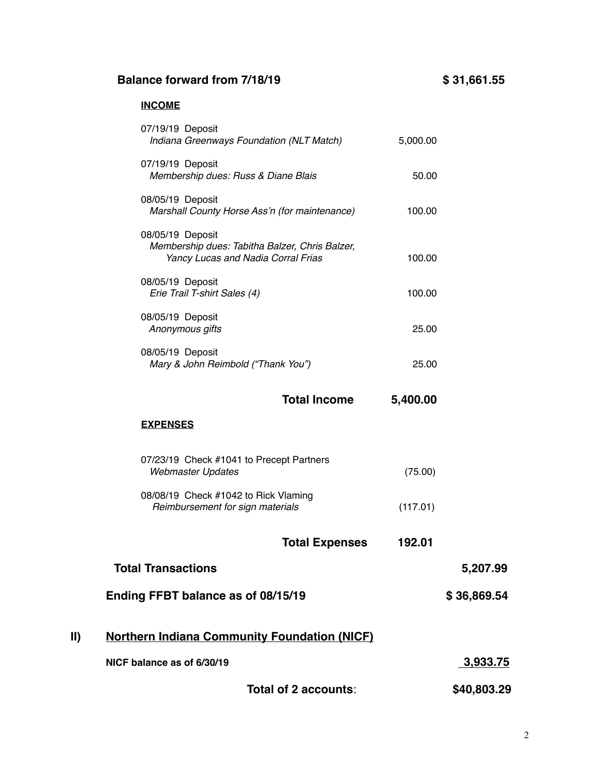# **Balance forward from 7/18/19 \$ 31,661.55**

# **INCOME**

|     | 07/19/19 Deposit<br>Indiana Greenways Foundation (NLT Match)                                             | 5,000.00 |             |
|-----|----------------------------------------------------------------------------------------------------------|----------|-------------|
|     | 07/19/19 Deposit<br>Membership dues: Russ & Diane Blais                                                  | 50.00    |             |
|     | 08/05/19 Deposit<br>Marshall County Horse Ass'n (for maintenance)                                        | 100.00   |             |
|     | 08/05/19 Deposit<br>Membership dues: Tabitha Balzer, Chris Balzer,<br>Yancy Lucas and Nadia Corral Frias | 100.00   |             |
|     | 08/05/19 Deposit<br>Erie Trail T-shirt Sales (4)                                                         | 100.00   |             |
|     | 08/05/19 Deposit<br>Anonymous gifts                                                                      | 25.00    |             |
|     | 08/05/19 Deposit<br>Mary & John Reimbold ("Thank You")                                                   | 25.00    |             |
|     | <b>Total Income</b>                                                                                      | 5,400.00 |             |
|     | <b>EXPENSES</b>                                                                                          |          |             |
|     | 07/23/19 Check #1041 to Precept Partners<br><b>Webmaster Updates</b>                                     | (75.00)  |             |
|     | 08/08/19 Check #1042 to Rick Vlaming<br>Reimbursement for sign materials                                 | (117.01) |             |
|     | <b>Total Expenses</b>                                                                                    | 192.01   |             |
|     | <b>Total Transactions</b>                                                                                |          | 5,207.99    |
|     | Ending FFBT balance as of 08/15/19                                                                       |          | \$36,869.54 |
| II) | <b>Northern Indiana Community Foundation (NICF)</b>                                                      |          |             |
|     | NICF balance as of 6/30/19                                                                               |          | 3,933.75    |
|     | Total of 2 accounts:                                                                                     |          | \$40,803.29 |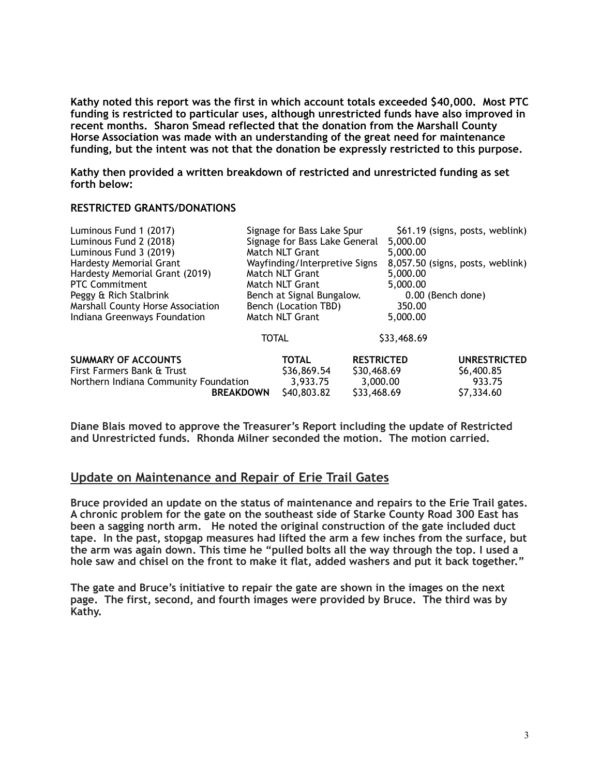**Kathy noted this report was the first in which account totals exceeded \$40,000. Most PTC funding is restricted to particular uses, although unrestricted funds have also improved in recent months. Sharon Smead reflected that the donation from the Marshall County Horse Association was made with an understanding of the great need for maintenance funding, but the intent was not that the donation be expressly restricted to this purpose.** 

**Kathy then provided a written breakdown of restricted and unrestricted funding as set forth below:** 

#### **RESTRICTED GRANTS/DONATIONS**

| Luminous Fund 1 (2017)                   | Signage for Bass Lake Spur    |                      |                   | \$61.19 (signs, posts, weblink)  |                     |
|------------------------------------------|-------------------------------|----------------------|-------------------|----------------------------------|---------------------|
| Luminous Fund 2 (2018)                   | Signage for Bass Lake General |                      | 5,000.00          |                                  |                     |
| Luminous Fund 3 (2019)                   | Match NLT Grant               |                      | 5,000.00          |                                  |                     |
| Hardesty Memorial Grant                  | Wayfinding/Interpretive Signs |                      |                   | 8,057.50 (signs, posts, weblink) |                     |
| Hardesty Memorial Grant (2019)           |                               | Match NLT Grant      |                   | 5,000.00                         |                     |
| <b>PTC Commitment</b>                    |                               | Match NLT Grant      |                   | 5,000.00                         |                     |
| Peggy & Rich Stalbrink                   | Bench at Signal Bungalow.     |                      |                   |                                  | 0.00 (Bench done)   |
| <b>Marshall County Horse Association</b> |                               | Bench (Location TBD) |                   | 350.00                           |                     |
| Indiana Greenways Foundation             |                               | Match NLT Grant      |                   | 5,000.00                         |                     |
|                                          |                               | <b>TOTAL</b>         |                   | \$33,468.69                      |                     |
| <b>SUMMARY OF ACCOUNTS</b>               |                               | <b>TOTAL</b>         | <b>RESTRICTED</b> |                                  | <b>UNRESTRICTED</b> |
| First Farmers Bank & Trust               |                               | \$36,869.54          | \$30,468.69       |                                  | \$6,400.85          |
| Northern Indiana Community Foundation    |                               | 3.933.75             | 3,000.00          |                                  | 933.75              |
|                                          | <b>BREAKDOWN</b>              | \$40,803.82          | \$33,468.69       |                                  | \$7,334.60          |

**Diane Blais moved to approve the Treasurer's Report including the update of Restricted and Unrestricted funds. Rhonda Milner seconded the motion. The motion carried.** 

#### **Update on Maintenance and Repair of Erie Trail Gates**

**Bruce provided an update on the status of maintenance and repairs to the Erie Trail gates. A chronic problem for the gate on the southeast side of Starke County Road 300 East has been a sagging north arm. He noted the original construction of the gate included duct tape. In the past, stopgap measures had lifted the arm a few inches from the surface, but the arm was again down. This time he "pulled bolts all the way through the top. I used a hole saw and chisel on the front to make it flat, added washers and put it back together."**

**The gate and Bruce's initiative to repair the gate are shown in the images on the next page. The first, second, and fourth images were provided by Bruce. The third was by Kathy.**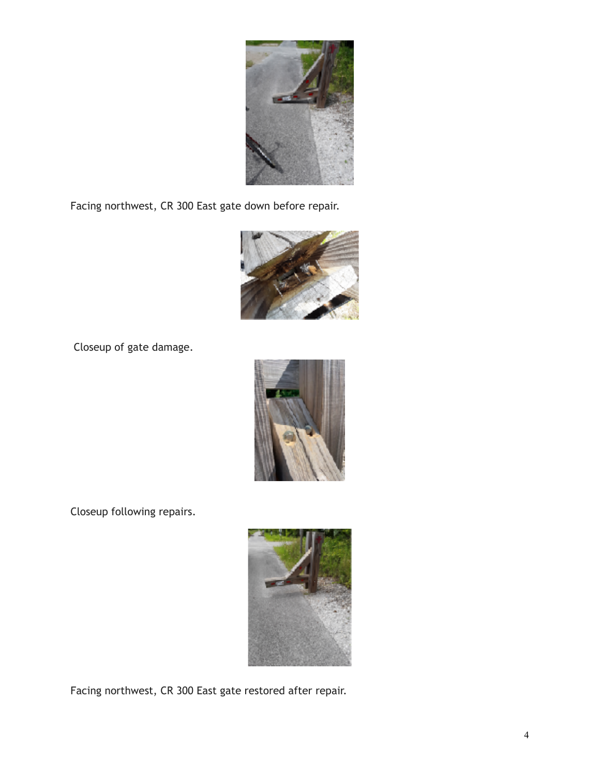

Facing northwest, CR 300 East gate down before repair.



Closeup of gate damage.



Closeup following repairs.



Facing northwest, CR 300 East gate restored after repair.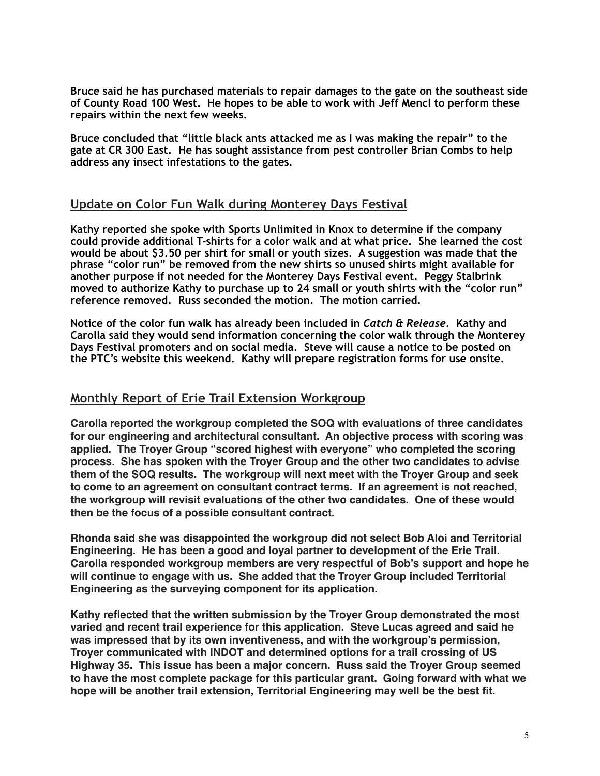**Bruce said he has purchased materials to repair damages to the gate on the southeast side of County Road 100 West. He hopes to be able to work with Jeff Mencl to perform these repairs within the next few weeks.** 

**Bruce concluded that "little black ants attacked me as I was making the repair" to the gate at CR 300 East. He has sought assistance from pest controller Brian Combs to help address any insect infestations to the gates.** 

### **Update on Color Fun Walk during Monterey Days Festival**

**Kathy reported she spoke with Sports Unlimited in Knox to determine if the company could provide additional T-shirts for a color walk and at what price. She learned the cost would be about \$3.50 per shirt for small or youth sizes. A suggestion was made that the phrase "color run" be removed from the new shirts so unused shirts might available for another purpose if not needed for the Monterey Days Festival event. Peggy Stalbrink moved to authorize Kathy to purchase up to 24 small or youth shirts with the "color run" reference removed. Russ seconded the motion. The motion carried.** 

**Notice of the color fun walk has already been included in** *Catch & Release***. Kathy and Carolla said they would send information concerning the color walk through the Monterey Days Festival promoters and on social media. Steve will cause a notice to be posted on the PTC's website this weekend. Kathy will prepare registration forms for use onsite.** 

### **Monthly Report of Erie Trail Extension Workgroup**

**Carolla reported the workgroup completed the SOQ with evaluations of three candidates for our engineering and architectural consultant. An objective process with scoring was applied. The Troyer Group "scored highest with everyone" who completed the scoring process. She has spoken with the Troyer Group and the other two candidates to advise them of the SOQ results. The workgroup will next meet with the Troyer Group and seek to come to an agreement on consultant contract terms. If an agreement is not reached, the workgroup will revisit evaluations of the other two candidates. One of these would then be the focus of a possible consultant contract.**

**Rhonda said she was disappointed the workgroup did not select Bob Aloi and Territorial Engineering. He has been a good and loyal partner to development of the Erie Trail. Carolla responded workgroup members are very respectful of Bob's support and hope he will continue to engage with us. She added that the Troyer Group included Territorial Engineering as the surveying component for its application.**

**Kathy reflected that the written submission by the Troyer Group demonstrated the most varied and recent trail experience for this application. Steve Lucas agreed and said he was impressed that by its own inventiveness, and with the workgroup's permission, Troyer communicated with INDOT and determined options for a trail crossing of US Highway 35. This issue has been a major concern. Russ said the Troyer Group seemed to have the most complete package for this particular grant. Going forward with what we hope will be another trail extension, Territorial Engineering may well be the best fit.**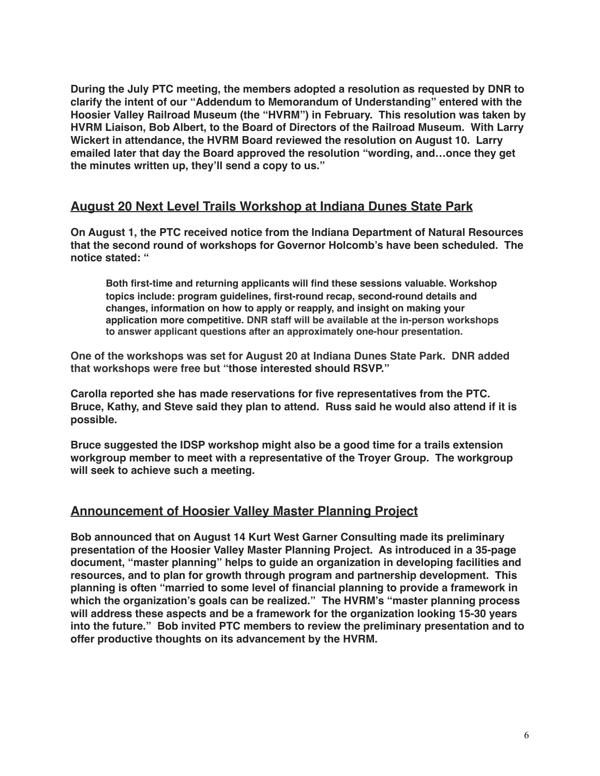**During the July PTC meeting, the members adopted a resolution as requested by DNR to clarify the intent of our "Addendum to Memorandum of Understanding" entered with the Hoosier Valley Railroad Museum (the "HVRM") in February. This resolution was taken by HVRM Liaison, Bob Albert, to the Board of Directors of the Railroad Museum. With Larry Wickert in attendance, the HVRM Board reviewed the resolution on August 10. Larry emailed later that day the Board approved the resolution "wording, and…once they get the minutes written up, they'll send a copy to us."** 

# **August 20 Next Level Trails Workshop at Indiana Dunes State Park**

**On August 1, the PTC received notice from the Indiana Department of Natural Resources that the second round of workshops for Governor Holcomb's have been scheduled. The notice stated: "**

**Both first-time and returning applicants will find these sessions valuable. Workshop topics include: program guidelines, first-round recap, second-round details and changes, information on how to apply or reapply, and insight on making your application more competitive. DNR staff will be available at the in-person workshops to answer applicant questions after an approximately one-hour presentation.** 

**One of the workshops was set for August 20 at Indiana Dunes State Park. DNR added that workshops were free but "those interested should RSVP."**

**Carolla reported she has made reservations for five representatives from the PTC. Bruce, Kathy, and Steve said they plan to attend. Russ said he would also attend if it is possible.** 

**Bruce suggested the IDSP workshop might also be a good time for a trails extension workgroup member to meet with a representative of the Troyer Group. The workgroup will seek to achieve such a meeting.**

# **Announcement of Hoosier Valley Master Planning Project**

**Bob announced that on August 14 Kurt West Garner Consulting made its preliminary presentation of the Hoosier Valley Master Planning Project. As introduced in a 35-page document, "master planning" helps to guide an organization in developing facilities and resources, and to plan for growth through program and partnership development. This planning is often "married to some level of financial planning to provide a framework in which the organization's goals can be realized." The HVRM's "master planning process will address these aspects and be a framework for the organization looking 15-30 years into the future." Bob invited PTC members to review the preliminary presentation and to offer productive thoughts on its advancement by the HVRM.**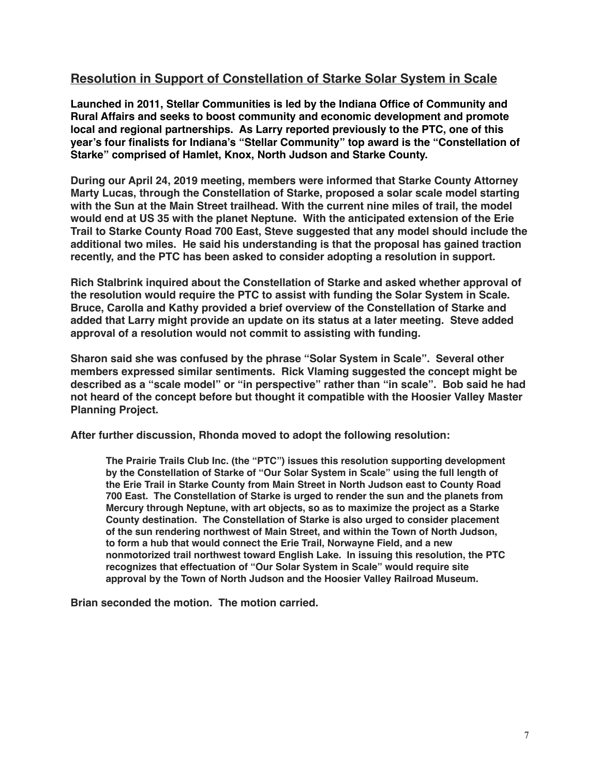# **Resolution in Support of Constellation of Starke Solar System in Scale**

**Launched in 2011, Stellar Communities is led by the Indiana Office of Community and Rural Affairs and seeks to boost community and economic development and promote local and regional partnerships. As Larry reported previously to the PTC, one of this year's four finalists for Indiana's "Stellar Community" top award is the "Constellation of Starke" comprised of Hamlet, Knox, North Judson and Starke County.**

**During our April 24, 2019 meeting, members were informed that Starke County Attorney Marty Lucas, through the Constellation of Starke, proposed a solar scale model starting with the Sun at the Main Street trailhead. With the current nine miles of trail, the model would end at US 35 with the planet Neptune. With the anticipated extension of the Erie Trail to Starke County Road 700 East, Steve suggested that any model should include the additional two miles. He said his understanding is that the proposal has gained traction recently, and the PTC has been asked to consider adopting a resolution in support.**

**Rich Stalbrink inquired about the Constellation of Starke and asked whether approval of the resolution would require the PTC to assist with funding the Solar System in Scale. Bruce, Carolla and Kathy provided a brief overview of the Constellation of Starke and added that Larry might provide an update on its status at a later meeting. Steve added approval of a resolution would not commit to assisting with funding.** 

**Sharon said she was confused by the phrase "Solar System in Scale". Several other members expressed similar sentiments. Rick Vlaming suggested the concept might be described as a "scale model" or "in perspective" rather than "in scale". Bob said he had not heard of the concept before but thought it compatible with the Hoosier Valley Master Planning Project.** 

**After further discussion, Rhonda moved to adopt the following resolution:**

**The Prairie Trails Club Inc. (the "PTC") issues this resolution supporting development by the Constellation of Starke of "Our Solar System in Scale" using the full length of the Erie Trail in Starke County from Main Street in North Judson east to County Road 700 East. The Constellation of Starke is urged to render the sun and the planets from Mercury through Neptune, with art objects, so as to maximize the project as a Starke County destination. The Constellation of Starke is also urged to consider placement of the sun rendering northwest of Main Street, and within the Town of North Judson, to form a hub that would connect the Erie Trail, Norwayne Field, and a new nonmotorized trail northwest toward English Lake. In issuing this resolution, the PTC recognizes that effectuation of "Our Solar System in Scale" would require site approval by the Town of North Judson and the Hoosier Valley Railroad Museum.**

**Brian seconded the motion. The motion carried.**